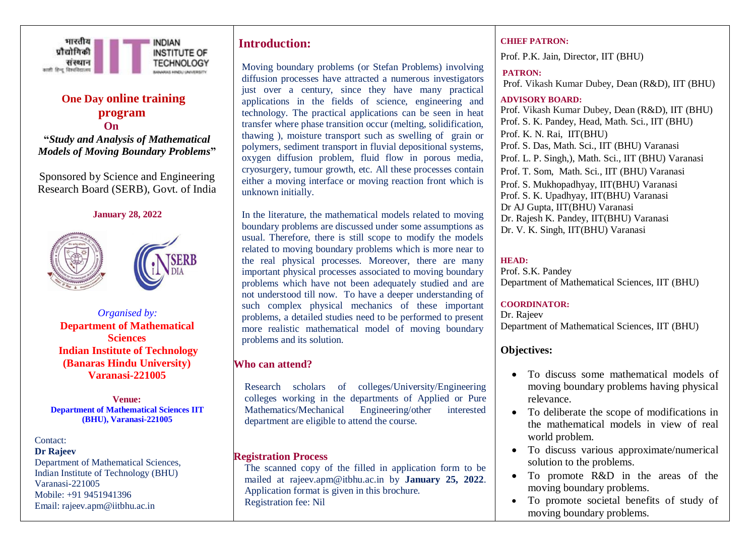

# **One Day online training program On**

**"***Study and Analysis of Mathematical Models of Moving Boundary Problems***"**

Sponsored by Science and Engineering Research Board (SERB), Govt. of India

#### **January 28, 2022**



*Organised by:* **Department of Mathematical Sciences Indian Institute of Technology (Banaras Hindu University) Varanasi-221005**

**Venue: Department of Mathematical Sciences IIT (BHU), Varanasi-221005**

#### Contact:

**Dr Rajeev**  Department of Mathematical Sciences, Indian Institute of Technology (BHU) Varanasi-221005 Mobile: +91 9451941396 Email: rajeev.apm@iitbhu.ac.in

## **Introduction:**

Moving boundary problems (or Stefan Problems) involving diffusion processes have attracted a numerous investigators just over a century, since they have many practical applications in the fields of science, engineering and technology. The practical applications can be seen in heat transfer where phase transition occur (melting, solidification, thawing ), moisture transport such as swelling of grain or polymers, sediment transport in fluvial depositional systems, oxygen diffusion problem, fluid flow in porous media, cryosurgery, tumour growth, etc. All these processes contain either a moving interface or moving reaction front which is unknown initially.

In the literature, the mathematical models related to moving boundary problems are discussed under some assumptions as usual. Therefore, there is still scope to modify the models related to moving boundary problems which is more near to the real physical processes. Moreover, there are many important physical processes associated to moving boundary problems which have not been adequately studied and are not understood till now. To have a deeper understanding of such complex physical mechanics of these important problems, a detailed studies need to be performed to present more realistic mathematical model of moving boundary problems and its solution.

## **Who can attend?**

Research scholars of colleges/University/Engineering colleges working in the departments of Applied or Pure Mathematics/Mechanical Engineering/other interested department are eligible to attend the course.

## **Registration Process**

The scanned copy of the filled in application form to be mailed at rajeev.apm@itbhu.ac.in by **January 25, 2022**. Application format is given in this brochure. Registration fee: Nil

#### **CHIEF PATRON:**

Prof. P.K. Jain, Director, IIT (BHU)

## **PATRON:**

Prof. Vikash Kumar Dubey, Dean (R&D), IIT (BHU)

#### **ADVISORY BOARD:**

Prof. Vikash Kumar Dubey, Dean (R&D), IIT (BHU) Prof. S. K. Pandey, Head, Math. Sci., IIT (BHU) Prof. K. N. Rai, IIT(BHU) Prof. S. Das, Math. Sci., IIT (BHU) Varanasi Prof. L. P. Singh,), Math. Sci., IIT (BHU) Varanasi Prof. T. Som, Math. Sci., IIT (BHU) Varanasi Prof. S. Mukhopadhyay, IIT(BHU) Varanasi Prof. S. K. Upadhyay, IIT(BHU) Varanasi Dr AJ Gupta, IIT(BHU) Varanasi Dr. Rajesh K. Pandey, IIT(BHU) Varanasi Dr. V. K. Singh, IIT(BHU) Varanasi

### **HEAD:**

Prof. S.K. Pandey Department of Mathematical Sciences, IIT (BHU)

#### **COORDINATOR:**

Dr. Rajeev Department of Mathematical Sciences, IIT (BHU)

## **Objectives:**

- To discuss some mathematical models of moving boundary problems having physical relevance.
- To deliberate the scope of modifications in the mathematical models in view of real world problem.
- To discuss various approximate/numerical solution to the problems.
- To promote R&D in the areas of the moving boundary problems.
- To promote societal benefits of study of moving boundary problems.